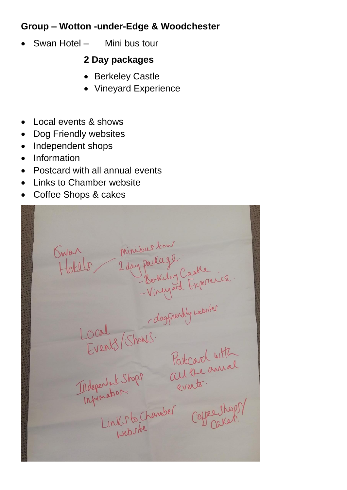## **Group – Wotton -under-Edge & Woodchester**

• Swan Hotel – Mini bus tour

## **2 Day packages**

- Berkeley Castle
- Vineyard Experience
- Local events & shows
- **Dog Friendly websites**
- Independent shops
- **Information**
- Postcard with all annual events
- Links to Chamber website
- Coffee Shops & cakes

Guan Minibus Lowrence.<br>Holder 2 day parlage<br>-Vineyard Experience.<br>-Vineyard Experience.<br>-Vineyard Experience.<br>- March 2 and 2 days and the annual<br>- Minibuste Corporation.<br>- Links to Chamber Corporation.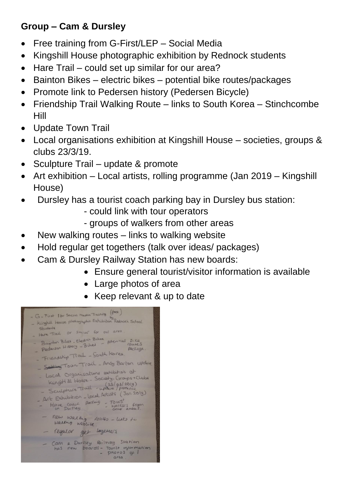## **Group – Cam & Dursley**

- Free training from G-First/LEP Social Media
- Kingshill House photographic exhibition by Rednock students
- Hare Trail could set up similar for our area?
- Bainton Bikes electric bikes potential bike routes/packages
- Promote link to Pedersen history (Pedersen Bicycle)
- Friendship Trail Walking Route links to South Korea Stinchcombe Hill
- Update Town Trail
- Local organisations exhibition at Kingshill House societies, groups & clubs 23/3/19.
- Sculpture Trail update & promote
- Art exhibition Local artists, rolling programme (Jan 2019 Kingshill House)
- Dursley has a tourist coach parking bay in Dursley bus station:
	- could link with tour operators
	- groups of walkers from other areas
- New walking routes links to walking website
- Hold regular get togethers (talk over ideas/ packages)
- Cam & Dursley Railway Station has new boards:
	- Ensure general tourist/visitor information is available
	- Large photos of area
	- Keep relevant & up to date

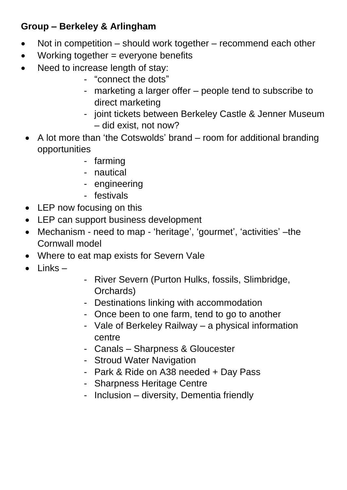## **Group – Berkeley & Arlingham**

- Not in competition should work together recommend each other
- Working together = everyone benefits
- Need to increase length of stay:
	- "connect the dots"
	- marketing a larger offer people tend to subscribe to direct marketing
	- joint tickets between Berkeley Castle & Jenner Museum – did exist, not now?
	- A lot more than 'the Cotswolds' brand room for additional branding opportunities
		- farming
		- nautical
		- engineering
		- festivals
	- LEP now focusing on this
	- LEP can support business development
	- Mechanism need to map 'heritage', 'gourmet', 'activities' –the Cornwall model
	- Where to eat map exists for Severn Vale
	- Links –
- River Severn (Purton Hulks, fossils, Slimbridge, Orchards)
- Destinations linking with accommodation
- Once been to one farm, tend to go to another
- Vale of Berkeley Railway a physical information centre
- Canals Sharpness & Gloucester
- Stroud Water Navigation
- Park & Ride on A38 needed + Day Pass
- Sharpness Heritage Centre
- Inclusion diversity, Dementia friendly